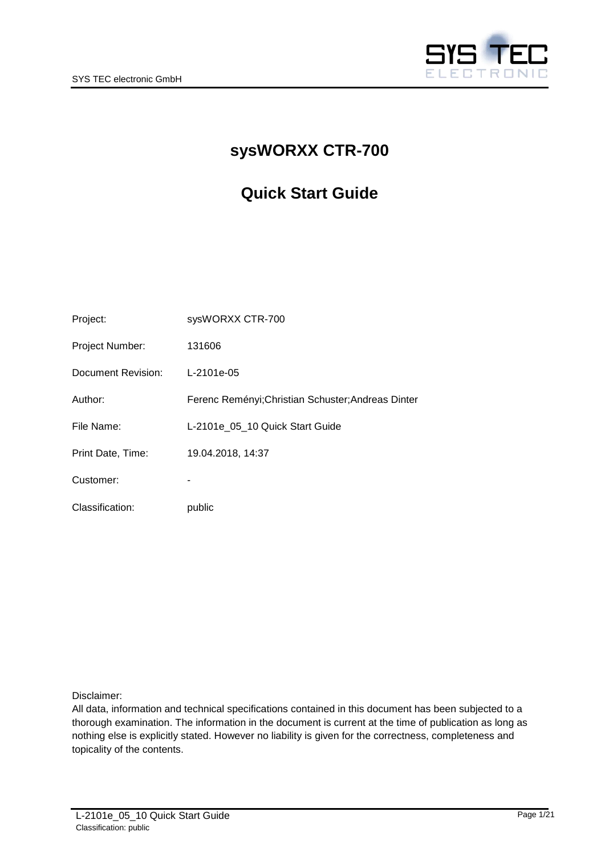

# **sysWORXX CTR-700**

# **Quick Start Guide**

| Project:           | sysWORXX CTR-700                                   |
|--------------------|----------------------------------------------------|
| Project Number:    | 131606                                             |
| Document Revision: | L-2101e-05                                         |
| Author:            | Ferenc Reményi; Christian Schuster; Andreas Dinter |
| File Name:         | L-2101e 05 10 Quick Start Guide                    |
| Print Date, Time:  | 19.04.2018, 14:37                                  |
| Customer:          |                                                    |
| Classification:    | public                                             |

Disclaimer:

All data, information and technical specifications contained in this document has been subjected to a thorough examination. The information in the document is current at the time of publication as long as nothing else is explicitly stated. However no liability is given for the correctness, completeness and topicality of the contents.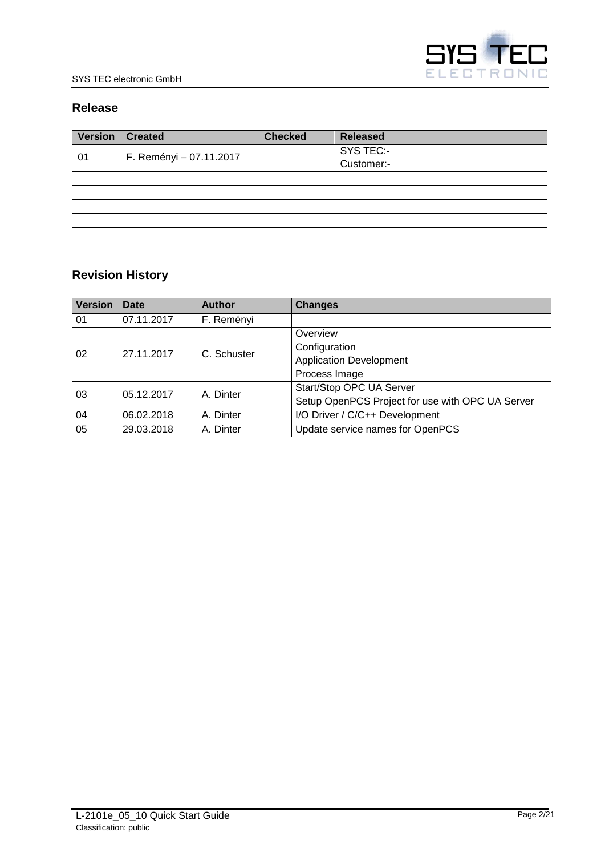

# **Release**

| <b>Version</b> | <b>Created</b>          | <b>Checked</b> | <b>Released</b> |
|----------------|-------------------------|----------------|-----------------|
| 01             | F. Reményi - 07.11.2017 |                | SYS TEC:-       |
|                |                         |                | Customer:-      |
|                |                         |                |                 |
|                |                         |                |                 |
|                |                         |                |                 |
|                |                         |                |                 |

# **Revision History**

| <b>Version</b>   | Date       | <b>Author</b> | <b>Changes</b>                                   |
|------------------|------------|---------------|--------------------------------------------------|
| 01               | 07.11.2017 | F. Reményi    |                                                  |
|                  |            |               | Overview                                         |
| 27.11.2017<br>02 |            | C. Schuster   | Configuration                                    |
|                  |            |               | <b>Application Development</b>                   |
|                  |            |               | Process Image                                    |
| 05.12.2017<br>03 |            | A. Dinter     | Start/Stop OPC UA Server                         |
|                  |            |               | Setup OpenPCS Project for use with OPC UA Server |
| 04               | 06.02.2018 | A. Dinter     | I/O Driver / C/C++ Development                   |
| 05               | 29.03.2018 | A. Dinter     | Update service names for OpenPCS                 |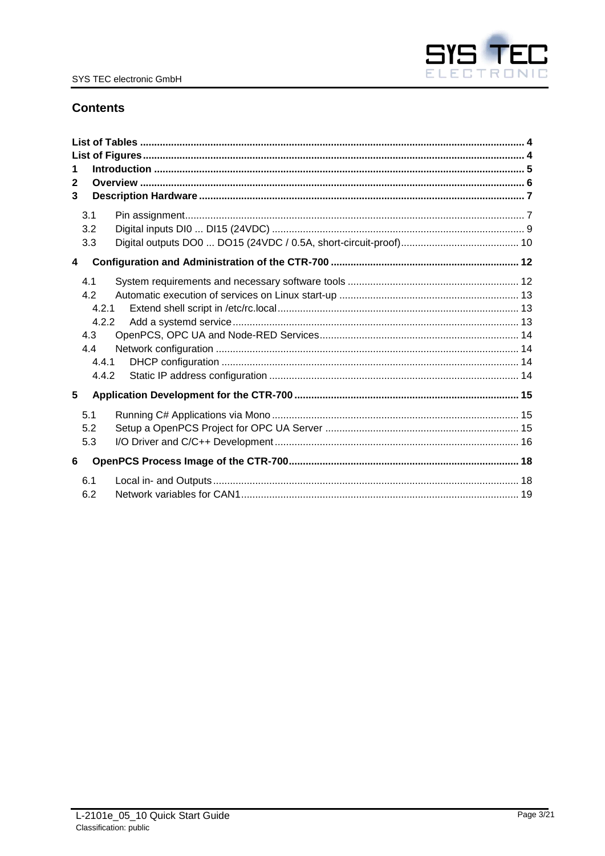

# **Contents**

| 1<br>2<br>3 | 3.1        |  |
|-------------|------------|--|
|             | 3.2        |  |
|             | 3.3        |  |
| 4           |            |  |
|             | 4.1        |  |
|             | 4.2        |  |
|             | 4.2.1      |  |
|             | 4.2.2      |  |
|             | 4.3<br>4.4 |  |
|             | 4.4.1      |  |
|             | 4.4.2      |  |
| 5           |            |  |
|             | 5.1        |  |
|             | 5.2        |  |
|             | 5.3        |  |
| 6           |            |  |
|             | 6.1<br>6.2 |  |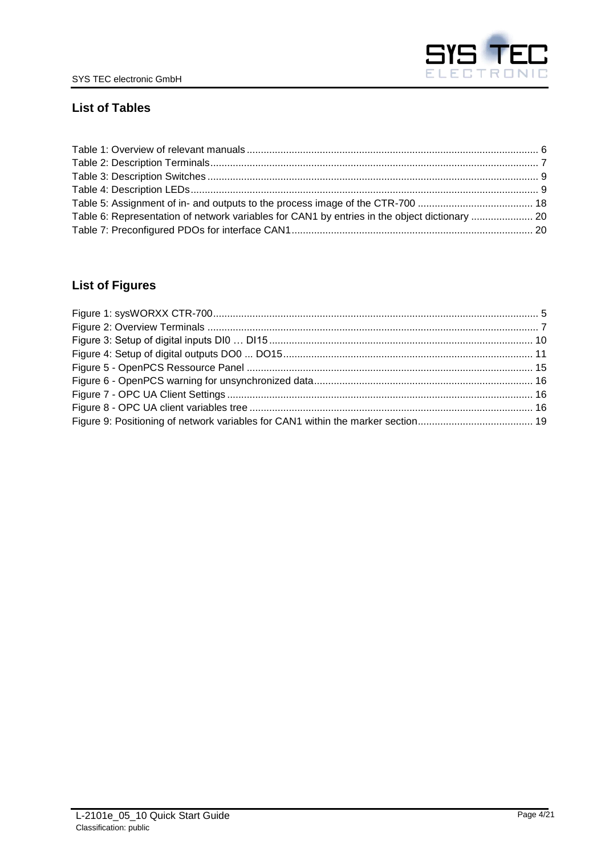

# <span id="page-3-0"></span>**List of Tables**

| Table 6: Representation of network variables for CAN1 by entries in the object dictionary  20 |  |
|-----------------------------------------------------------------------------------------------|--|
|                                                                                               |  |

# <span id="page-3-1"></span>**List of Figures**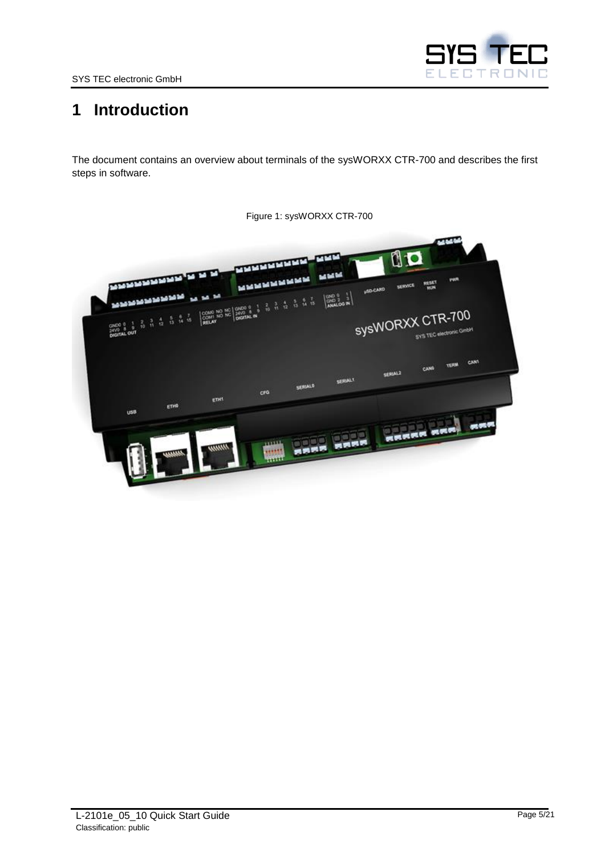

# <span id="page-4-0"></span>**1 Introduction**

The document contains an overview about terminals of the sysWORXX CTR-700 and describes the first steps in software.

<span id="page-4-1"></span>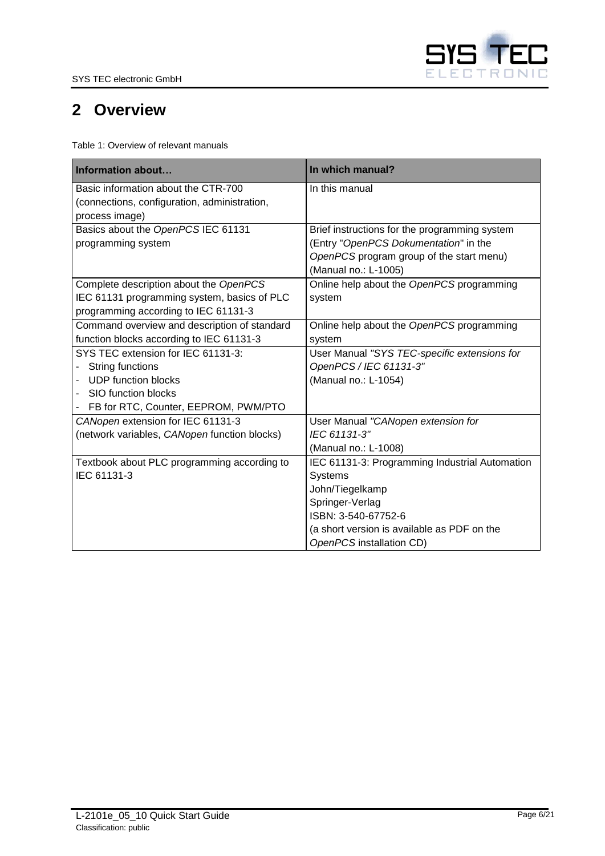

# <span id="page-5-0"></span>**2 Overview**

<span id="page-5-1"></span>Table 1: Overview of relevant manuals

| Information about                            | In which manual?                               |
|----------------------------------------------|------------------------------------------------|
| Basic information about the CTR-700          | In this manual                                 |
| (connections, configuration, administration, |                                                |
| process image)                               |                                                |
| Basics about the OpenPCS IEC 61131           | Brief instructions for the programming system  |
| programming system                           | (Entry "OpenPCS Dokumentation" in the          |
|                                              | OpenPCS program group of the start menu)       |
|                                              | (Manual no.: L-1005)                           |
| Complete description about the OpenPCS       | Online help about the OpenPCS programming      |
| IEC 61131 programming system, basics of PLC  | system                                         |
| programming according to IEC 61131-3         |                                                |
| Command overview and description of standard | Online help about the OpenPCS programming      |
| function blocks according to IEC 61131-3     | system                                         |
| SYS TEC extension for IEC 61131-3:           | User Manual "SYS TEC-specific extensions for   |
| String functions                             | OpenPCS / IEC 61131-3"                         |
| <b>UDP</b> function blocks                   | (Manual no.: L-1054)                           |
| SIO function blocks                          |                                                |
| FB for RTC, Counter, EEPROM, PWM/PTO         |                                                |
| CANopen extension for IEC 61131-3            | User Manual "CANopen extension for             |
| (network variables, CANopen function blocks) | IEC 61131-3"                                   |
|                                              | (Manual no.: L-1008)                           |
| Textbook about PLC programming according to  | IEC 61131-3: Programming Industrial Automation |
| IEC 61131-3                                  | Systems                                        |
|                                              | John/Tiegelkamp                                |
|                                              | Springer-Verlag                                |
|                                              | ISBN: 3-540-67752-6                            |
|                                              | (a short version is available as PDF on the    |
|                                              | OpenPCS installation CD)                       |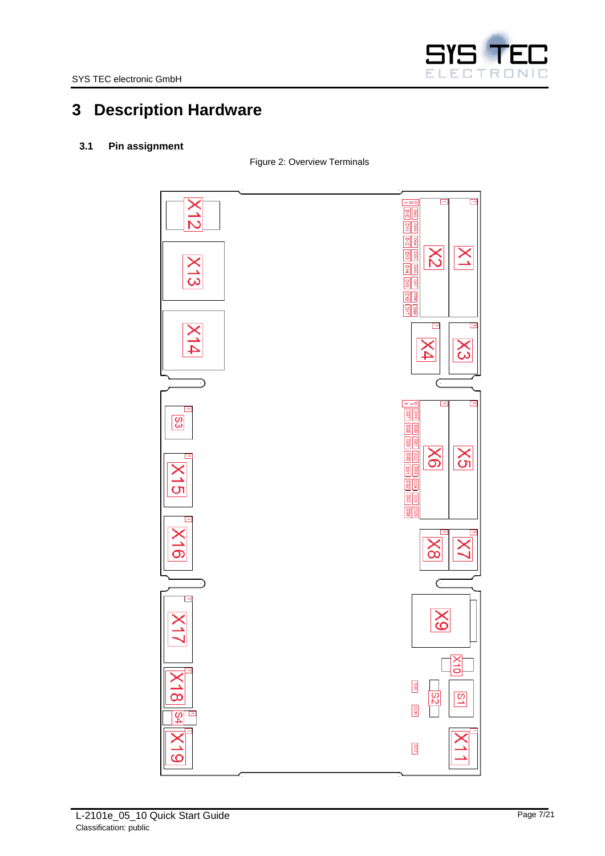

# <span id="page-6-0"></span>**3 Description Hardware**

# <span id="page-6-3"></span><span id="page-6-2"></span><span id="page-6-1"></span>**3.1 Pin assignment**

Figure 2: Overview Terminals

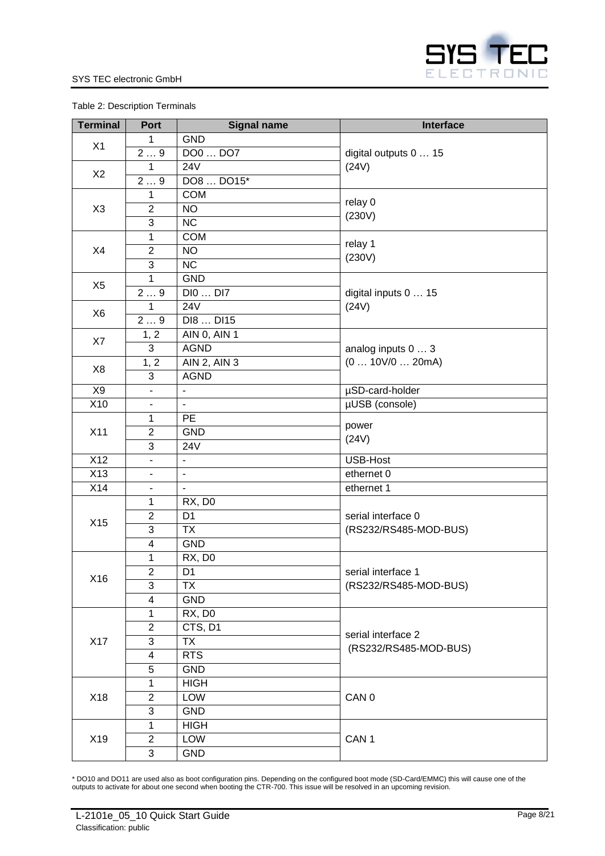#### Table 2: Description Terminals

| <b>Terminal</b> | Port                     | <b>Signal name</b>     | Interface             |
|-----------------|--------------------------|------------------------|-----------------------|
|                 | 1                        | <b>GND</b>             |                       |
| X1              | 29                       | DO0  DO7               | digital outputs 0  15 |
|                 | $\mathbf 1$              | <b>24V</b>             | (24V)                 |
| X2              | 29                       | DO8  DO15*             |                       |
|                 | $\mathbf{1}$             | <b>COM</b>             |                       |
| X <sub>3</sub>  | $\overline{c}$           | <b>NO</b>              | relay 0               |
|                 | $\overline{3}$           | $\overline{\text{NC}}$ | (230V)                |
|                 | 1                        | <b>COM</b>             |                       |
| X4              | $\overline{2}$           | <b>NO</b>              | relay 1<br>(230V)     |
|                 | 3                        | <b>NC</b>              |                       |
|                 | 1                        | <b>GND</b>             |                       |
| X <sub>5</sub>  | 29                       | DI0  DI7               | digital inputs 0  15  |
|                 | 1                        | <b>24V</b>             | (24V)                 |
| X <sub>6</sub>  | $\overline{29}$          | DI8  DI15              |                       |
| X7              | 1, 2                     | <b>AIN 0, AIN 1</b>    |                       |
|                 | 3                        | <b>AGND</b>            | analog inputs 0  3    |
|                 | 1, 2                     | AIN 2, AIN 3           | (0  10V/0  20mA)      |
| X <sub>8</sub>  | 3                        | <b>AGND</b>            |                       |
| X9              | $\blacksquare$           |                        | µSD-card-holder       |
| X10             | $\overline{\phantom{a}}$ | $\blacksquare$         | µUSB (console)        |
|                 | 1                        | PE                     |                       |
| X11             | $\overline{2}$           | <b>GND</b>             | power                 |
|                 | 3                        | <b>24V</b>             | (24V)                 |
| X12             | $\overline{\phantom{a}}$ | $\blacksquare$         | <b>USB-Host</b>       |
| X13             | $\overline{\phantom{a}}$ | $\blacksquare$         | ethernet 0            |
| X14             |                          |                        | ethernet 1            |
|                 | 1                        | RX, DO                 |                       |
| X15             | $\overline{2}$           | D <sub>1</sub>         | serial interface 0    |
|                 | 3                        | <b>TX</b>              | (RS232/RS485-MOD-BUS) |
|                 | 4                        | <b>GND</b>             |                       |
|                 | 1                        | RX, D0                 |                       |
| X16             | $\overline{\mathbf{c}}$  | D1                     | serial interface 1    |
|                 | 3                        | TX                     | (RS232/RS485-MOD-BUS) |
|                 | 4                        | <b>GND</b>             |                       |
|                 | $\mathbf{1}$             | RX, DO                 |                       |
|                 | $\overline{2}$           | CTS, D1                | serial interface 2    |
| X17             | 3                        | TX                     | (RS232/RS485-MOD-BUS) |
|                 | 4                        | <b>RTS</b>             |                       |
|                 | 5                        | <b>GND</b>             |                       |
|                 | 1                        | <b>HIGH</b>            |                       |
| X18             | $\overline{2}$           | LOW                    | CAN 0                 |
|                 | 3                        | <b>GND</b>             |                       |
|                 | 1                        | <b>HIGH</b>            |                       |
| X19             | $\overline{2}$           | LOW                    | CAN <sub>1</sub>      |
|                 | 3                        | <b>GND</b>             |                       |

\* DO10 and DO11 are used also as boot configuration pins. Depending on the configured boot mode (SD-Card/EMMC) this will cause one of the outputs to activate for about one second when booting the CTR-700. This issue will be resolved in an upcoming revision.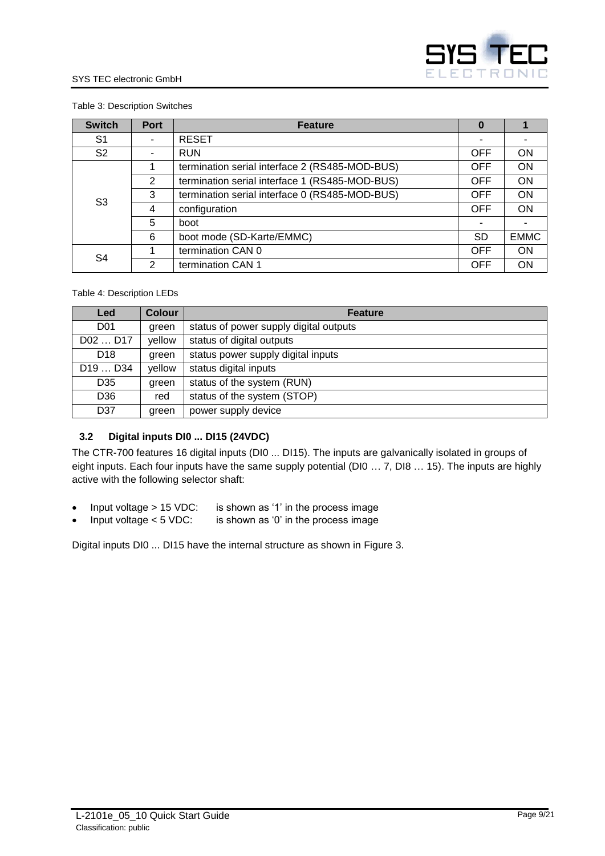

#### <span id="page-8-1"></span>Table 3: Description Switches

| <b>Switch</b>  | <b>Port</b> | <b>Feature</b>                                 | O          |             |
|----------------|-------------|------------------------------------------------|------------|-------------|
| S <sub>1</sub> |             | <b>RESET</b>                                   | ۰          |             |
| S <sub>2</sub> |             | <b>RUN</b>                                     | <b>OFF</b> | <b>ON</b>   |
|                |             | termination serial interface 2 (RS485-MOD-BUS) | <b>OFF</b> | <b>ON</b>   |
|                | 2           | termination serial interface 1 (RS485-MOD-BUS) | <b>OFF</b> | <b>ON</b>   |
| S <sub>3</sub> | 3           | termination serial interface 0 (RS485-MOD-BUS) | <b>OFF</b> | <b>ON</b>   |
|                | 4           | configuration                                  | <b>OFF</b> | ON          |
|                | 5           | boot                                           | -          |             |
|                | 6           | boot mode (SD-Karte/EMMC)                      | <b>SD</b>  | <b>EMMC</b> |
| S <sub>4</sub> |             | termination CAN 0                              | <b>OFF</b> | <b>ON</b>   |
|                | 2           | termination CAN 1                              | <b>OFF</b> | <b>ON</b>   |

#### <span id="page-8-2"></span>Table 4: Description LEDs

| Led                             | <b>Colour</b> | <b>Feature</b>                         |  |
|---------------------------------|---------------|----------------------------------------|--|
| D <sub>01</sub>                 | green         | status of power supply digital outputs |  |
| D02  D17                        | yellow        | status of digital outputs              |  |
| D <sub>18</sub>                 | green         | status power supply digital inputs     |  |
| D <sub>19</sub> D <sub>34</sub> | yellow        | status digital inputs                  |  |
| D35                             | green         | status of the system (RUN)             |  |
| D36                             | red           | status of the system (STOP)            |  |
| D37                             | green         | power supply device                    |  |

## <span id="page-8-0"></span>**3.2 Digital inputs DI0 ... DI15 (24VDC)**

The CTR-700 features 16 digital inputs (DI0 ... DI15). The inputs are galvanically isolated in groups of eight inputs. Each four inputs have the same supply potential (DI0 … 7, DI8 … 15). The inputs are highly active with the following selector shaft:

- Input voltage  $> 15$  VDC: is shown as '1' in the process image
- Input voltage < 5 VDC: is shown as '0' in the process image

Digital inputs DI0 ... DI15 have the internal structure as shown in [Figure 3.](#page-9-1)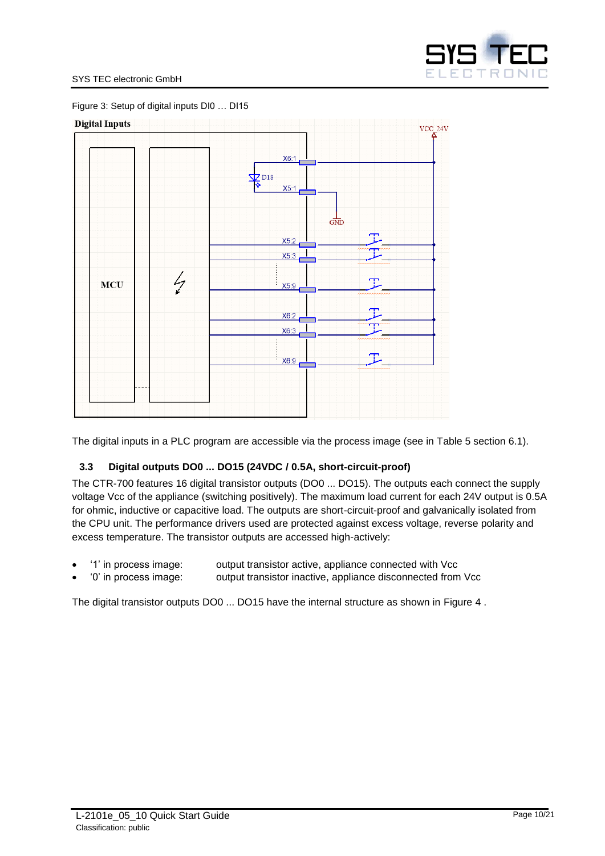<span id="page-9-1"></span>



The digital inputs in a PLC program are accessible via the process image (see in [Table 5](#page-17-2) section [6.1\)](#page-17-1).

## <span id="page-9-0"></span>**3.3 Digital outputs DO0 ... DO15 (24VDC / 0.5A, short-circuit-proof)**

The CTR-700 features 16 digital transistor outputs (DO0 ... DO15). The outputs each connect the supply voltage Vcc of the appliance (switching positively). The maximum load current for each 24V output is 0.5A for ohmic, inductive or capacitive load. The outputs are short-circuit-proof and galvanically isolated from the CPU unit. The performance drivers used are protected against excess voltage, reverse polarity and excess temperature. The transistor outputs are accessed high-actively:

- '1' in process image: output transistor active, appliance connected with Vcc
- '0' in process image: output transistor inactive, appliance disconnected from Vcc

The digital transistor outputs DO0 ... DO15 have the internal structure as shown in [Figure 4](#page-10-0) .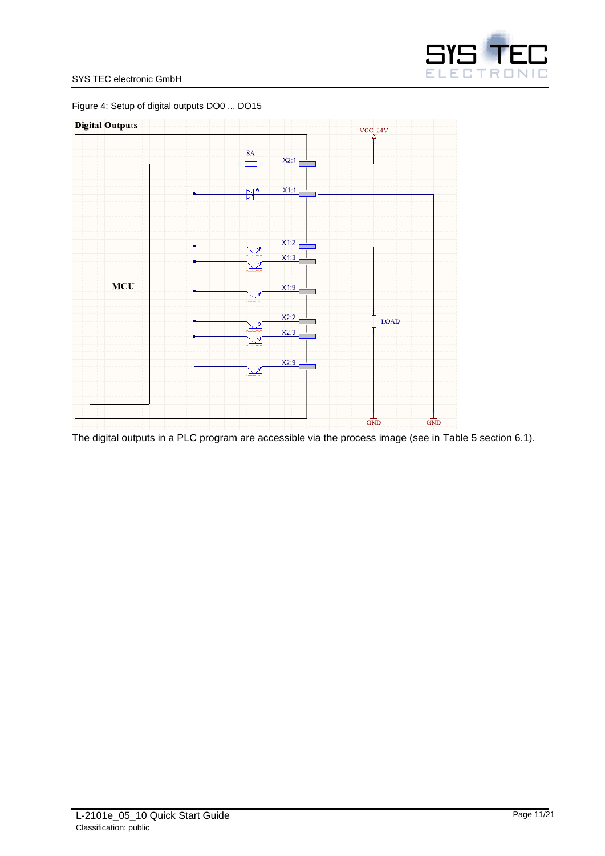

#### SYS TEC electronic GmbH

<span id="page-10-0"></span>Figure 4: Setup of digital outputs DO0 ... DO15



The digital outputs in a PLC program are accessible via the process image (see in [Table 5](#page-17-2) section [6.1\)](#page-17-1).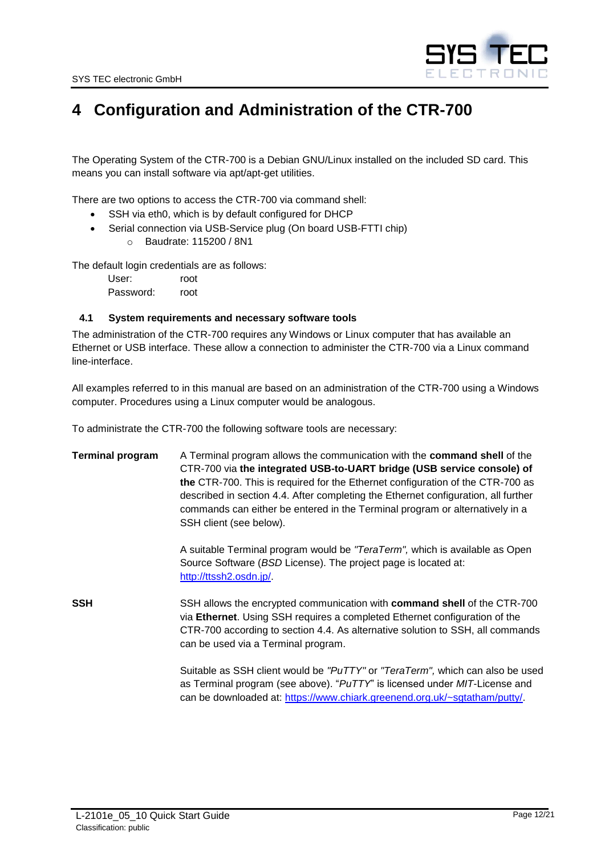

# <span id="page-11-0"></span>**4 Configuration and Administration of the CTR-700**

The Operating System of the CTR-700 is a Debian GNU/Linux installed on the included SD card. This means you can install software via apt/apt-get utilities.

There are two options to access the CTR-700 via command shell:

- SSH via eth0, which is by default configured for DHCP
- Serial connection via USB-Service plug (On board USB-FTTI chip)
	- o Baudrate: 115200 / 8N1

The default login credentials are as follows:

User: root Password: root

#### <span id="page-11-1"></span>**4.1 System requirements and necessary software tools**

The administration of the CTR-700 requires any Windows or Linux computer that has available an Ethernet or USB interface. These allow a connection to administer the CTR-700 via a Linux command line-interface.

All examples referred to in this manual are based on an administration of the CTR-700 using a Windows computer. Procedures using a Linux computer would be analogous.

To administrate the CTR-700 the following software tools are necessary:

**Terminal program** A Terminal program allows the communication with the **command shell** of the CTR-700 via **the integrated USB-to-UART bridge (USB service console) of the** CTR-700. This is required for the Ethernet configuration of the CTR-700 as described in section [4.4.](#page-13-1) After completing the Ethernet configuration, all further commands can either be entered in the Terminal program or alternatively in a SSH client (see below).

> A suitable Terminal program would be *"TeraTerm",* which is available as Open Source Software (*BSD* License). The project page is located at: [http://ttssh2.osdn.jp/.](http://ttssh2.osdn.jp/)

**SSH** SSH allows the encrypted communication with **command shell** of the CTR-700 via **Ethernet**. Using SSH requires a completed Ethernet configuration of the CTR-700 according to section [4.4.](#page-13-1) As alternative solution to SSH, all commands can be used via a Terminal program.

> Suitable as SSH client would be *"PuTTY"* or *"TeraTerm",* which can also be used as Terminal program (see above). "*PuTTY*" is licensed under *MIT*-License and can be downloaded at: [https://www.chiark.greenend.org.uk/~sgtatham/putty/.](https://www.chiark.greenend.org.uk/~sgtatham/putty/)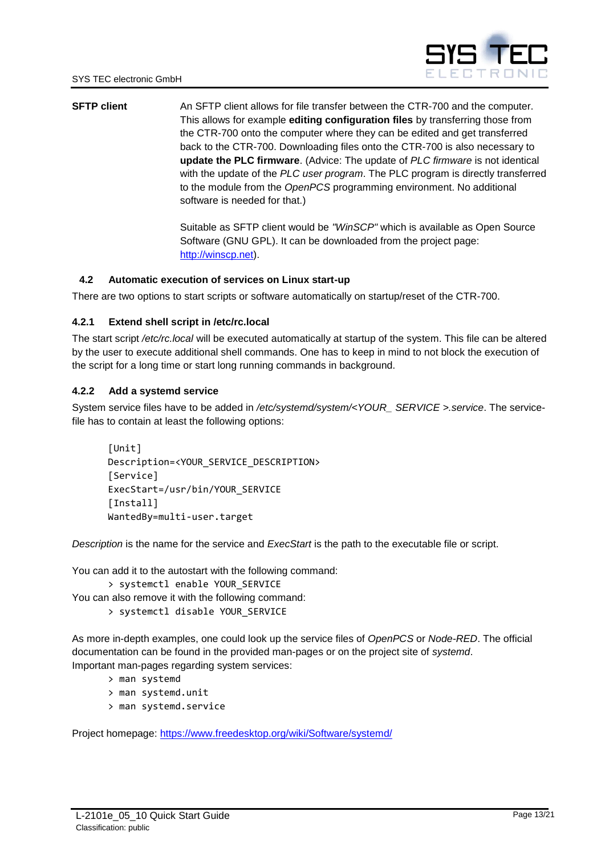

**SFTP client** An SFTP client allows for file transfer between the CTR-700 and the computer. This allows for example **editing configuration files** by transferring those from the CTR-700 onto the computer where they can be edited and get transferred back to the CTR-700. Downloading files onto the CTR-700 is also necessary to **update the PLC firmware**. (Advice: The update of *PLC firmware* is not identical with the update of the *PLC user program*. The PLC program is directly transferred to the module from the *OpenPCS* programming environment. No additional software is needed for that.)

> Suitable as SFTP client would be *"WinSCP"* which is available as Open Source Software (GNU GPL). It can be downloaded from the project page: [http://winscp.net\)](http://winscp.net/).

## <span id="page-12-0"></span>**4.2 Automatic execution of services on Linux start-up**

There are two options to start scripts or software automatically on startup/reset of the CTR-700.

#### <span id="page-12-1"></span>**4.2.1 Extend shell script in /etc/rc.local**

The start script */etc/rc.local* will be executed automatically at startup of the system. This file can be altered by the user to execute additional shell commands. One has to keep in mind to not block the execution of the script for a long time or start long running commands in background.

### <span id="page-12-2"></span>**4.2.2 Add a systemd service**

System service files have to be added in */etc/systemd/system/<YOUR\_ SERVICE >.service*. The servicefile has to contain at least the following options:

```
[Unit]
Description=<YOUR_SERVICE_DESCRIPTION>
[Service]
ExecStart=/usr/bin/YOUR_SERVICE
[Install]
WantedBy=multi-user.target
```
*Description* is the name for the service and *ExecStart* is the path to the executable file or script.

You can add it to the autostart with the following command:

> systemctl enable YOUR\_SERVICE

You can also remove it with the following command:

> systemctl disable YOUR\_SERVICE

As more in-depth examples, one could look up the service files of *OpenPCS* or *Node-RED*. The official documentation can be found in the provided man-pages or on the project site of *systemd*. Important man-pages regarding system services:

- > man systemd
- > man systemd.unit
- > man systemd.service

Project homepage: <https://www.freedesktop.org/wiki/Software/systemd/>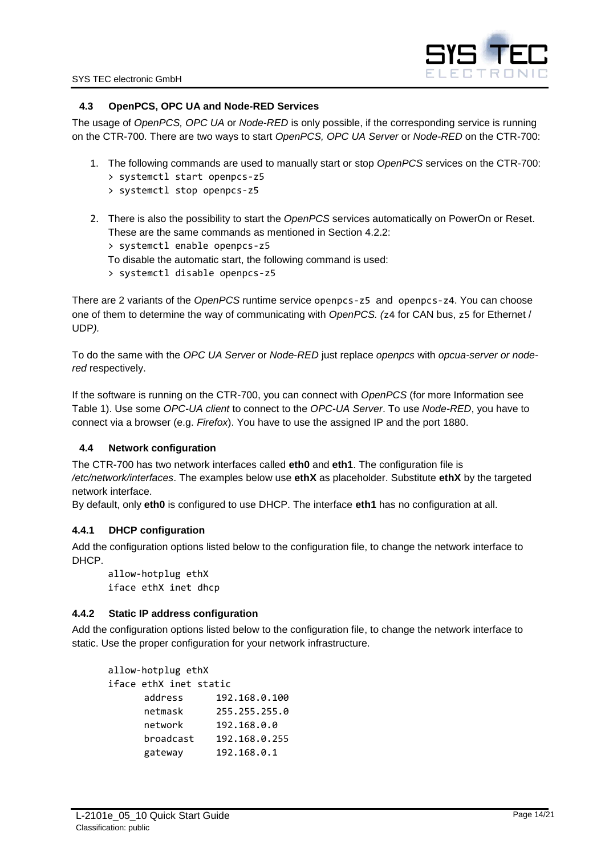

## <span id="page-13-0"></span>**4.3 OpenPCS, OPC UA and Node-RED Services**

The usage of *OpenPCS, OPC UA* or *Node-RED* is only possible, if the corresponding service is running on the CTR-700. There are two ways to start *OpenPCS, OPC UA Server* or *Node-RED* on the CTR-700:

- 1. The following commands are used to manually start or stop *OpenPCS* services on the CTR-700:
	- > systemctl start openpcs-z5
	- > systemctl stop openpcs-z5
- 2. There is also the possibility to start the *OpenPCS* services automatically on PowerOn or Reset. These are the same commands as mentioned in Section [4.2.2:](#page-12-2)
	- > systemctl enable openpcs-z5
	- To disable the automatic start, the following command is used:
	- > systemctl disable openpcs-z5

There are 2 variants of the *OpenPCS* runtime service openpcs-z5 and openpcs-z4. You can choose one of them to determine the way of communicating with *OpenPCS. (*z4 for CAN bus, z5 for Ethernet / UDP*).*

To do the same with the *OPC UA Server* or *Node*-*RED* just replace *openpcs* with *opcua-server or nodered* respectively.

If the software is running on the CTR-700, you can connect with *OpenPCS* (for more Information see Table 1). Use some *OPC-UA client* to connect to the *OPC-UA Server*. To use *Node-RED*, you have to connect via a browser (e.g. *Firefox*). You have to use the assigned IP and the port 1880.

## <span id="page-13-1"></span>**4.4 Network configuration**

The CTR-700 has two network interfaces called **eth0** and **eth1**. The configuration file is */etc/network/interfaces*. The examples below use **ethX** as placeholder. Substitute **ethX** by the targeted network interface.

By default, only **eth0** is configured to use DHCP. The interface **eth1** has no configuration at all.

## <span id="page-13-2"></span>**4.4.1 DHCP configuration**

Add the configuration options listed below to the configuration file, to change the network interface to DHCP.

allow-hotplug ethX iface ethX inet dhcp

## <span id="page-13-3"></span>**4.4.2 Static IP address configuration**

Add the configuration options listed below to the configuration file, to change the network interface to static. Use the proper configuration for your network infrastructure.

| allow-hotplug ethX     |               |
|------------------------|---------------|
| iface ethX inet static |               |
| address                | 192.168.0.100 |
| netmask                | 255.255.255.0 |
| network                | 192.168.0.0   |
| broadcast              | 192.168.0.255 |
| gateway                | 192.168.0.1   |
|                        |               |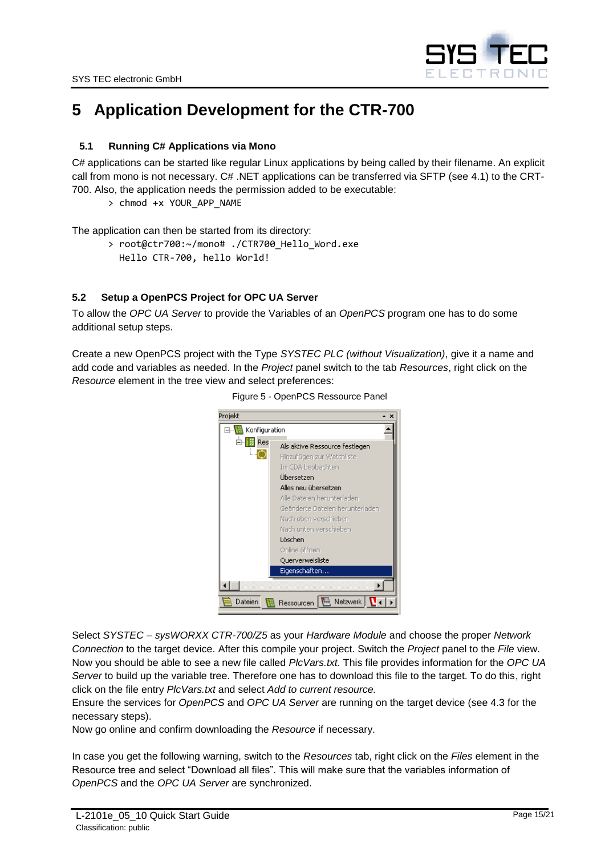

# <span id="page-14-0"></span>**5 Application Development for the CTR-700**

# <span id="page-14-1"></span>**5.1 Running C# Applications via Mono**

C# applications can be started like regular Linux applications by being called by their filename. An explicit call from mono is not necessary. C# .NET applications can be transferred via SFTP (see [4.1\)](#page-11-1) to the CRT-700. Also, the application needs the permission added to be executable:

> chmod +x YOUR\_APP\_NAME

The application can then be started from its directory:

> root@ctr700:~/mono# ./CTR700 Hello Word.exe Hello CTR-700, hello World!

# <span id="page-14-2"></span>**5.2 Setup a OpenPCS Project for OPC UA Server**

To allow the *OPC UA Server* to provide the Variables of an *OpenPCS* program one has to do some additional setup steps.

<span id="page-14-3"></span>Create a new OpenPCS project with the Type *SYSTEC PLC (without Visualization)*, give it a name and add code and variables as needed. In the *Project* panel switch to the tab *Resources*, right click on the *Resource* element in the tree view and select preferences:



Figure 5 - OpenPCS Ressource Panel

Select *SYSTEC – sysWORXX CTR-700/Z5* as your *Hardware Module* and choose the proper *Network Connection* to the target device. After this compile your project. Switch the *Project* panel to the *File* view. Now you should be able to see a new file called *PlcVars.txt.* This file provides information for the *OPC UA Server* to build up the variable tree. Therefore one has to download this file to the target. To do this, right click on the file entry *PlcVars.txt* and select *Add to current resource.*

Ensure the services for *OpenPCS* and *OPC UA Server* are running on the target device (see [4.3](#page-13-0) for the necessary steps).

Now go online and confirm downloading the *Resource* if necessary.

In case you get the following warning, switch to the *Resources* tab, right click on the *Files* element in the Resource tree and select "Download all files". This will make sure that the variables information of *OpenPCS* and the *OPC UA Server* are synchronized.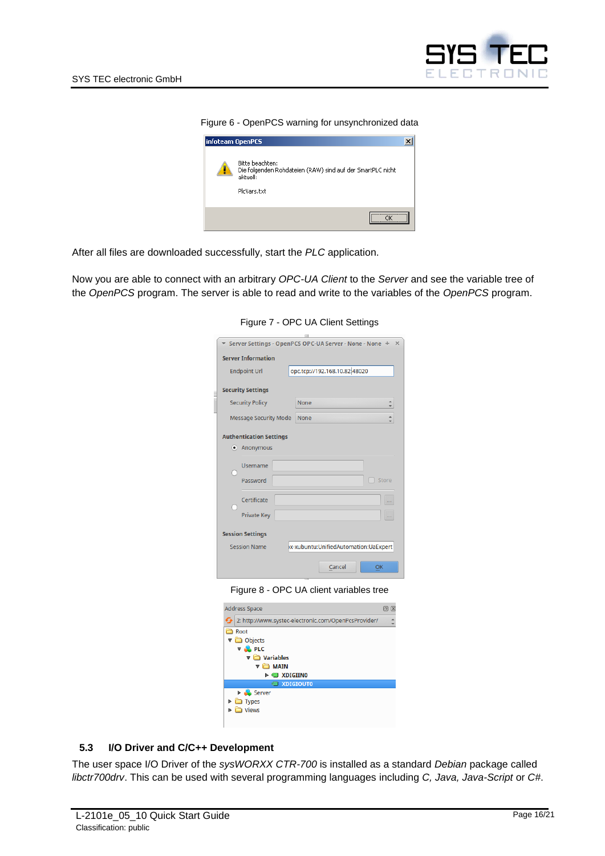

Figure 6 - OpenPCS warning for unsynchronized data

<span id="page-15-1"></span>

After all files are downloaded successfully, start the *PLC* application.

<span id="page-15-2"></span>Now you are able to connect with an arbitrary *OPC-UA Client* to the *Server* and see the variable tree of the *OpenPCS* program. The server is able to read and write to the variables of the *OpenPCS* program.

Figure 7 - OPC UA Client Settings

| NH                                                              |  |  |  |  |
|-----------------------------------------------------------------|--|--|--|--|
| Server Settings - OpenPCS OPC-UA Server - None - None<br>÷<br>× |  |  |  |  |
| <b>Server Information</b>                                       |  |  |  |  |
| opc.tcp://192.168.10.82 48020<br><b>Endpoint Url</b>            |  |  |  |  |
| <b>Security Settings</b>                                        |  |  |  |  |
| <b>Security Policy</b><br>A<br>None                             |  |  |  |  |
| <b>Message Security Mode</b><br>None                            |  |  |  |  |
| <b>Authentication Settings</b><br>· Anonymous                   |  |  |  |  |
| <b>Username</b><br>Password<br>Store                            |  |  |  |  |
| Certificate<br><b>Private Key</b>                               |  |  |  |  |
| <b>Session Settings</b>                                         |  |  |  |  |
| x-xubuntu:UnifiedAutomation:UaExpert<br><b>Session Name</b>     |  |  |  |  |
| Cancel<br>OK                                                    |  |  |  |  |

Figure 8 - OPC UA client variables tree

<span id="page-15-3"></span>

| <b>Address Space</b>                                 | ßК<br>lß |
|------------------------------------------------------|----------|
| 2: http://www.systec-electronic.com/OpenPcsProvider/ |          |
| Root                                                 |          |
| <b>▼</b> Objects                                     |          |
| $\nabla$ on PLC                                      |          |
| $\triangledown$ <b>Variables</b>                     |          |
| <b>MAIN</b><br>▼                                     |          |
| <b>EXDIGIINO</b><br>ь                                |          |
| <b>EXPIGIOUTO</b>                                    |          |
| Server<br>Þ.                                         |          |
| ÞЕ<br><b>Types</b>                                   |          |
| <b>Views</b>                                         |          |
|                                                      |          |
|                                                      |          |

## <span id="page-15-0"></span>**5.3 I/O Driver and C/C++ Development**

The user space I/O Driver of the *sysWORXX CTR-700* is installed as a standard *Debian* package called *libctr700drv*. This can be used with several programming languages including *C, Java, Java-Script* or *C#*.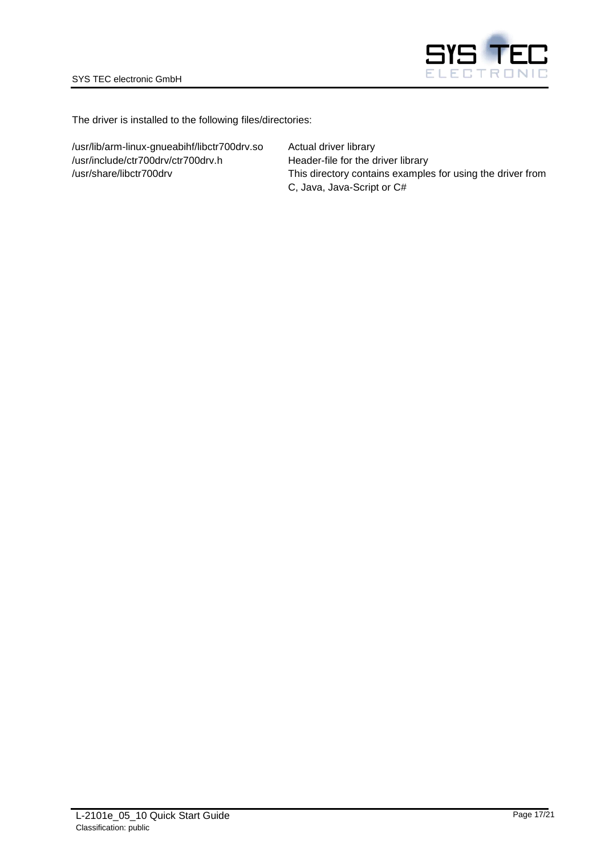

The driver is installed to the following files/directories:

/usr/lib/arm-linux-gnueabihf/libctr700drv.so Actual driver library /usr/include/ctr700drv/ctr700drv.h Header-file for the driver library

/usr/share/libctr700drv This directory contains examples for using the driver from C, Java, Java-Script or C#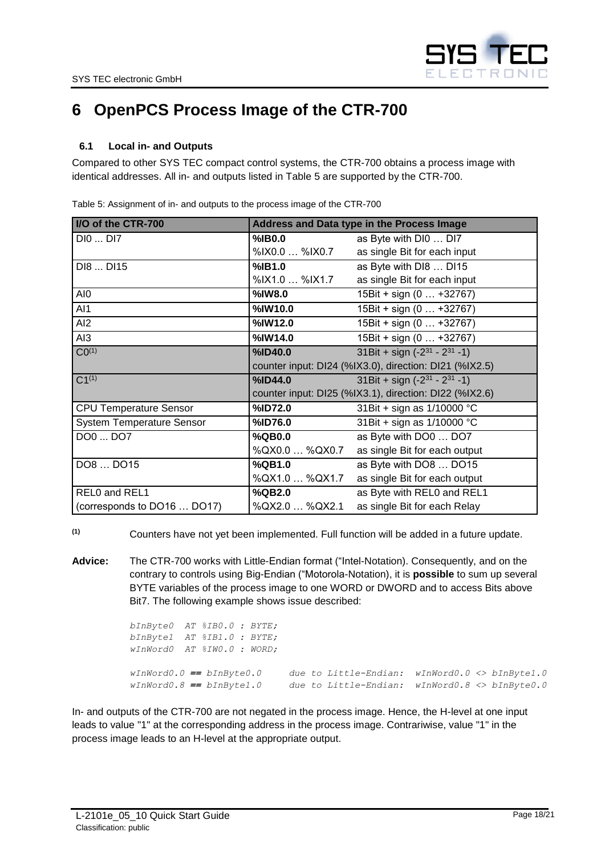

# <span id="page-17-0"></span>**6 OpenPCS Process Image of the CTR-700**

# <span id="page-17-1"></span>**6.1 Local in- and Outputs**

Compared to other SYS TEC compact control systems, the CTR-700 obtains a process image with identical addresses. All in- and outputs listed in [Table 5](#page-17-2) are supported by the CTR-700.

| I/O of the CTR-700               |                | Address and Data type in the Process Image             |
|----------------------------------|----------------|--------------------------------------------------------|
| DI0  DI7                         | %IB0.0         | as Byte with DI0  DI7                                  |
|                                  | %IX0.0  %IX0.7 | as single Bit for each input                           |
| DI8  DI15                        | %IB1.0         | as Byte with DI8  DI15                                 |
|                                  | %IX1.0  %IX1.7 | as single Bit for each input                           |
| AI0                              | %IW8.0         | 15Bit + sign (0  +32767)                               |
| Al1                              | %IW10.0        | 15Bit + sign (0  +32767)                               |
| AI2                              | %IW12.0        | 15Bit + sign (0  +32767)                               |
| AI3                              | %IW14.0        | 15Bit + sign (0  +32767)                               |
| CO <sup>(1)</sup>                | %ID40.0        | 31Bit + sign $(-2^{31} - 2^{31} - 1)$                  |
|                                  |                | counter input: DI24 (%IX3.0), direction: DI21 (%IX2.5) |
| $C1^{(1)}$                       | %ID44.0        | 31Bit + sign $(-2^{31} - 2^{31} - 1)$                  |
|                                  |                | counter input: DI25 (%IX3.1), direction: DI22 (%IX2.6) |
| <b>CPU Temperature Sensor</b>    | %ID72.0        | 31 Bit + sign as 1/10000 °C                            |
| <b>System Temperature Sensor</b> | %ID76.0        | 31 Bit + sign as 1/10000 °C                            |
| DO0  DO7                         | %QB0.0         | as Byte with DO0  DO7                                  |
|                                  | %QX0.0  %QX0.7 | as single Bit for each output                          |
| DO8  DO15                        | %QB1.0         | as Byte with DO8  DO15                                 |
|                                  | %QX1.0  %QX1.7 | as single Bit for each output                          |
| REL0 and REL1                    | %QB2.0         | as Byte with REL0 and REL1                             |
| (corresponds to DO16  DO17)      | %QX2.0  %QX2.1 | as single Bit for each Relay                           |

<span id="page-17-2"></span>Table 5: Assignment of in- and outputs to the process image of the CTR-700

**(1)** Counters have not yet been implemented. Full function will be added in a future update.

**Advice:** The CTR-700 works with Little-Endian format ("Intel-Notation). Consequently, and on the contrary to controls using Big-Endian ("Motorola-Notation), it is **possible** to sum up several BYTE variables of the process image to one WORD or DWORD and to access Bits above Bit7. The following example shows issue described:

| $bInByteO$ AT $$IBO.O: BYTE:$   |                                                           |  |
|---------------------------------|-----------------------------------------------------------|--|
| $bInByte1$ AT $\$IB1.0$ : BYTE; |                                                           |  |
| wInWord0 AT %IW0.0 : WORD;      |                                                           |  |
|                                 |                                                           |  |
| $wInWord0.0 == bInByte0.0$      | due to Little-Endian: $wInWord0.0 \iff bInByte1.0$        |  |
| $wInWord0.8 == bInByte1.0$      | due to Little-Endian: $wInWord0.8 \lt\gt 10$ InByte $0.0$ |  |

In- and outputs of the CTR-700 are not negated in the process image. Hence, the H-level at one input leads to value "1" at the corresponding address in the process image. Contrariwise, value "1" in the process image leads to an H-level at the appropriate output.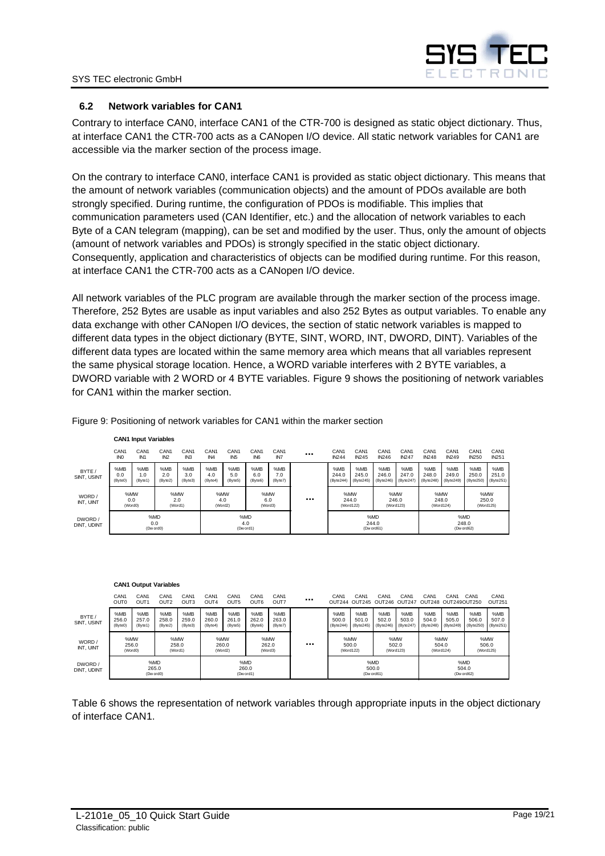

### <span id="page-18-0"></span>**6.2 Network variables for CAN1**

**CAN1 Input Variables**

Contrary to interface CAN0, interface CAN1 of the CTR-700 is designed as static object dictionary. Thus, at interface CAN1 the CTR-700 acts as a CANopen I/O device. All static network variables for CAN1 are accessible via the marker section of the process image.

On the contrary to interface CAN0, interface CAN1 is provided as static object dictionary. This means that the amount of network variables (communication objects) and the amount of PDOs available are both strongly specified. During runtime, the configuration of PDOs is modifiable. This implies that communication parameters used (CAN Identifier, etc.) and the allocation of network variables to each Byte of a CAN telegram (mapping), can be set and modified by the user. Thus, only the amount of objects (amount of network variables and PDOs) is strongly specified in the static object dictionary. Consequently, application and characteristics of objects can be modified during runtime. For this reason, at interface CAN1 the CTR-700 acts as a CANopen I/O device.

All network variables of the PLC program are available through the marker section of the process image. Therefore, 252 Bytes are usable as input variables and also 252 Bytes as output variables. To enable any data exchange with other CANopen I/O devices, the section of static network variables is mapped to different data types in the object dictionary (BYTE, SINT, WORD, INT, DWORD, DINT). Variables of the different data types are located within the same memory area which means that all variables represent the same physical storage location. Hence, a WORD variable interferes with 2 BYTE variables, a DWORD variable with 2 WORD or 4 BYTE variables. [Figure 9](#page-18-1) shows the positioning of network variables for CAN1 within the marker section.

|                        |                                     | <b>CAN HIDGE VALIADICS</b>          |                                                                             |                                     |                                     |                                     |                                     |                                     |  |                                  |                                  |                                  |                                  |                                  |                                  |                                  |                                  |  |
|------------------------|-------------------------------------|-------------------------------------|-----------------------------------------------------------------------------|-------------------------------------|-------------------------------------|-------------------------------------|-------------------------------------|-------------------------------------|--|----------------------------------|----------------------------------|----------------------------------|----------------------------------|----------------------------------|----------------------------------|----------------------------------|----------------------------------|--|
|                        | CAN <sub>1</sub><br>IN <sub>0</sub> | CAN <sub>1</sub><br>IN <sub>1</sub> | CAN <sub>1</sub><br>IN2                                                     | CAN <sub>1</sub><br>IN <sub>3</sub> | CAN <sub>1</sub><br>IN <sub>4</sub> | CAN <sub>1</sub><br>IN <sub>5</sub> | CAN <sub>1</sub><br>IN <sub>6</sub> | CAN <sub>1</sub><br>IN <sub>7</sub> |  | CAN <sub>1</sub><br><b>IN244</b> | CAN <sub>1</sub><br><b>IN245</b> | CAN <sub>1</sub><br><b>IN246</b> | CAN <sub>1</sub><br><b>IN247</b> | CAN <sub>1</sub><br><b>IN248</b> | CAN <sub>1</sub><br><b>IN249</b> | CAN <sub>1</sub><br><b>IN250</b> | CAN <sub>1</sub><br><b>IN251</b> |  |
| BYTE /<br>SINT, USINT  | %MB<br>0.0<br>(Byte0)               | %MB<br>1.0<br>(Byte1)               | %MB<br>2.0<br>(Byte2)                                                       | %MB<br>3.0<br>(Byte3)               | %MB<br>4.0<br>(Byte4)               | %MB<br>5.0<br>(Byte5)               | %MB<br>6.0<br>(Byte6)               | %MB<br>7.0<br>(Byte7)               |  | %MB<br>244.0<br>(Byte244)        | %MB<br>245.0<br>(Byte245)        | %MB<br>246.0<br>(Byte246)        | %MB<br>247.0<br>(Byte247)        | %MB<br>248.0<br>(Byte248)        | %MB<br>249.0<br>(Byte249)        | %MB<br>250.0<br>(Byte250         | %MB<br>251.0<br>(Byte251)        |  |
| WORD /<br>INT. UINT    | %MW<br>0.0<br>(Word0)               |                                     | %MW<br>%MW<br>%MW<br><br>2.0<br>4.0<br>6.0<br>(Word2)<br>(Word3)<br>(Word1) |                                     |                                     |                                     |                                     |                                     |  |                                  | %MW<br>244.0<br>(Word122)        |                                  | %MW<br>246.0<br>(Word123)        |                                  | %MW<br>248.0<br>(Word124)        |                                  | %MW<br>250.0<br>(Word125)        |  |
| DWORD /<br>DINT, UDINT |                                     | 0.0                                 | %MD<br>(Dw ord0)                                                            |                                     | %MD<br>4.0<br>(Dw ord1)             |                                     |                                     | %MD<br>244.0<br>(Dw ord61)          |  |                                  | %MD<br>248.0<br>(Dw ord62)       |                                  |                                  |                                  |                                  |                                  |                                  |  |
|                        |                                     |                                     |                                                                             |                                     |                                     |                                     |                                     |                                     |  |                                  |                                  |                                  |                                  |                                  |                                  |                                  |                                  |  |

<span id="page-18-1"></span>Figure 9: Positioning of network variables for CAN1 within the marker section

|                        |                                      | <b>CAN1 Output Variables</b>         |                                      |                          |                                      |                                      |                          |                          |                           |                           |                                                 |                           |                                         |                           |                           |                              |
|------------------------|--------------------------------------|--------------------------------------|--------------------------------------|--------------------------|--------------------------------------|--------------------------------------|--------------------------|--------------------------|---------------------------|---------------------------|-------------------------------------------------|---------------------------|-----------------------------------------|---------------------------|---------------------------|------------------------------|
|                        | CAN <sub>1</sub><br>OUT <sub>0</sub> | CAN <sub>1</sub><br>OUT <sub>1</sub> | CAN <sub>1</sub><br>OUT <sub>2</sub> | CAN <sub>1</sub><br>OUT3 | CAN <sub>1</sub><br>OUT <sub>4</sub> | CAN <sub>1</sub><br>OUT <sub>5</sub> | CAN <sub>1</sub><br>OUT6 | CAN <sub>1</sub><br>OUT7 | <br>CAN <sub>1</sub>      | CAN <sub>1</sub>          | CAN <sub>1</sub><br>OUT244 OUT245 OUT246 OUT247 | CAN <sub>1</sub>          | CAN <sub>1</sub><br>OUT248 OUT249OUT250 | CAN <sub>1</sub>          | CAN <sub>1</sub>          | CAN <sub>1</sub><br>O(JT251) |
| BYTE /<br>SINT, USINT  | %MB<br>256.0<br>(Byte0)              | %MB<br>257.0<br>(Byte1)              | %MB<br>258.0<br>(Byte2)              | %MB<br>259.0<br>(Byte3)  | %MB<br>260.0<br>(Byte4)              | %MB<br>261.0<br>(Byte5)              | %MB<br>262.0<br>(Byte6)  | %MB<br>263.0<br>(Byte7)  | %MB<br>500.0<br>(Byte244) | %MB<br>501.0<br>(Byte245) | %MB<br>502.0<br>(Byte246)                       | %MB<br>503.0<br>(Byte247) | %MB<br>504.0<br>(Byte248)               | %MB<br>505.0<br>(Byte249) | %MB<br>506.0<br>(Byte250) | %MB<br>507.0<br>(Byte251)    |
| WORD /<br>INT. UINT    | %MW<br>256.0<br>(Word0)              |                                      | %MW<br>258.0<br>(Word1)              |                          | %MW<br>260.0<br>(Word2)              |                                      | %MW<br>262.0<br>(Word3)  |                          | <br>%MW<br>500.0          | (Word122)                 | %MW<br>502.0<br>(Word123)                       |                           | %MW<br>504.0<br>(Word124)               |                           | %MW<br>506.0<br>(Word125) |                              |
| DWORD /<br>DINT, UDINT |                                      | %MD<br>265.0<br>(Dw ord0)            |                                      |                          | %MD<br>260.0<br>(Dw ord1)            |                                      |                          |                          | 500.0<br>(Dw ord61)       | %MD                       |                                                 |                           | %MD<br>504.0<br>(Dw ord62)              |                           |                           |                              |

[Table 6](#page-19-0) shows the representation of network variables through appropriate inputs in the object dictionary of interface CAN1.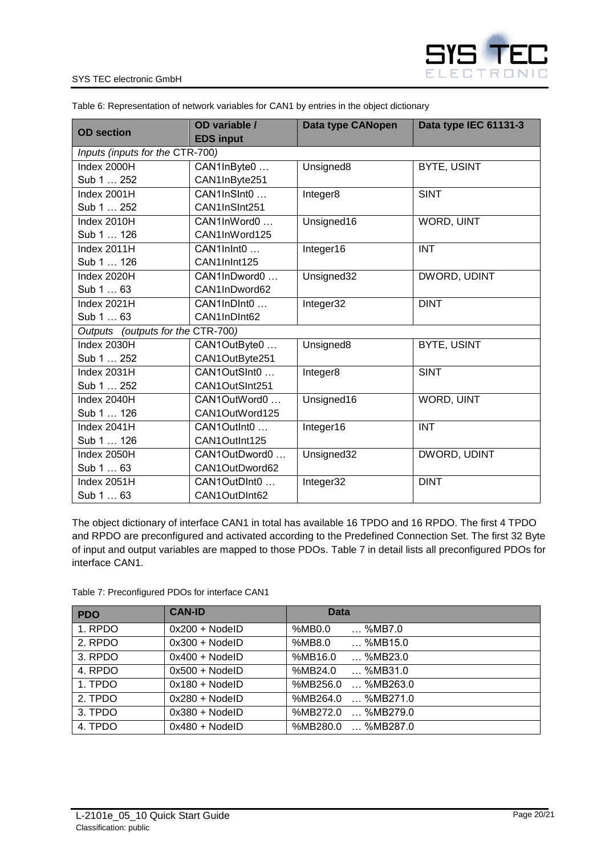

#### SYS TEC electronic GmbH

| <b>OD</b> section                 | OD variable /<br><b>EDS input</b> | Data type CANopen | Data type IEC 61131-3 |
|-----------------------------------|-----------------------------------|-------------------|-----------------------|
| Inputs (inputs for the CTR-700)   |                                   |                   |                       |
| Index 2000H                       | CAN1InByte0                       | Unsigned8         | <b>BYTE, USINT</b>    |
| Sub 1  252                        | CAN1InByte251                     |                   |                       |
| Index 2001H                       | CAN1InSInt0                       | Integer8          | <b>SINT</b>           |
| Sub 1  252                        | CAN1InSInt251                     |                   |                       |
| Index 2010H                       | CAN1InWord0                       | Unsigned16        | <b>WORD, UINT</b>     |
| Sub 1  126                        | CAN1InWord125                     |                   |                       |
| Index 2011H                       | CAN1InInt0                        | Integer16         | <b>INT</b>            |
| Sub 1  126                        | CAN1InInt125                      |                   |                       |
| Index 2020H                       | CAN1InDword0                      | Unsigned32        | DWORD, UDINT          |
| Sub 1  63                         | CAN1InDword62                     |                   |                       |
| Index 2021H                       | CAN1InDInt0                       | Integer32         | <b>DINT</b>           |
| Sub 1  63                         | CAN1InDInt62                      |                   |                       |
| Outputs (outputs for the CTR-700) |                                   |                   |                       |
| Index 2030H                       | CAN1OutByte0                      | Unsigned8         | <b>BYTE, USINT</b>    |
| Sub 1  252                        | CAN1OutByte251                    |                   |                       |
| Index 2031H                       | CAN1OutSInt0                      | Integer8          | <b>SINT</b>           |
| Sub 1  252                        | CAN1OutSInt251                    |                   |                       |
| Index 2040H                       | CAN1OutWord0                      | Unsigned16        | WORD, UINT            |
| Sub 1  126                        | CAN1OutWord125                    |                   |                       |
| Index 2041H                       | CAN1OutInt0                       | Integer16         | <b>INT</b>            |
| Sub 1  126                        | CAN1OutInt125                     |                   |                       |
| Index 2050H                       | CAN1OutDword0                     | Unsigned32        | DWORD, UDINT          |
| Sub 1  63                         | CAN1OutDword62                    |                   |                       |
| Index 2051H                       | CAN1OutDInt0                      | Integer32         | <b>DINT</b>           |
| Sub 1  63                         | CAN1OutDInt62                     |                   |                       |

<span id="page-19-0"></span>Table 6: Representation of network variables for CAN1 by entries in the object dictionary

The object dictionary of interface CAN1 in total has available 16 TPDO and 16 RPDO. The first 4 TPDO and RPDO are preconfigured and activated according to the Predefined Connection Set. The first 32 Byte of input and output variables are mapped to those PDOs. [Table 7](#page-19-1) in detail lists all preconfigured PDOs for interface CAN1.

<span id="page-19-1"></span>Table 7: Preconfigured PDOs for interface CAN1

| <b>PDO</b> | <b>CAN-ID</b>    | <b>Data</b>             |
|------------|------------------|-------------------------|
| 1. RPDO    | $0x200 + NodelD$ | %MB0.0<br>%MB7.0        |
| 2. RPDO    | $0x300 + NodelD$ | %MB8.0<br>$$ %MB15.0    |
| 3. RPDO    | $0x400 + NodelD$ | %MB16.0<br>$$ %MB23.0   |
| 4. RPDO    | $0x500 + NodelD$ | %MB24.0<br>%MB31.0      |
| 1. TPDO    | $0x180 + NodelD$ | %MB256.0<br>$$ %MB263.0 |
| 2. TPDO    | $0x280 + NodeID$ | $$ %MB271.0<br>%MB264.0 |
| 3. TPDO    | $0x380 + NodeID$ | %MB272.0<br>$$ %MB279.0 |
| 4. TPDO    | $0x480 + NodelD$ | %MB280.0<br>$$ %MB287.0 |